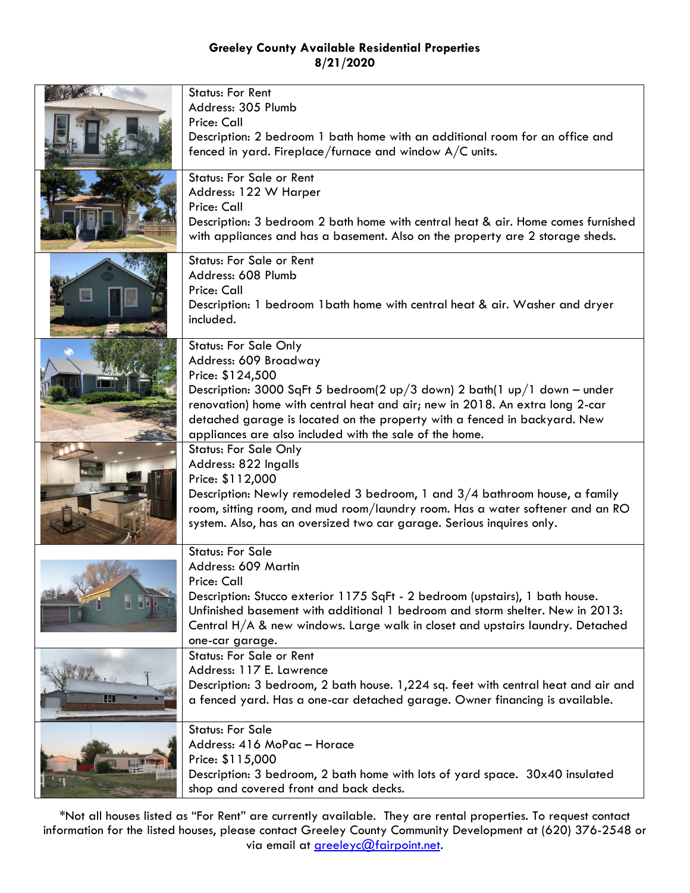|     | <b>Status: For Rent</b><br>Address: 305 Plumb                                                                                                                 |
|-----|---------------------------------------------------------------------------------------------------------------------------------------------------------------|
|     | Price: Call                                                                                                                                                   |
|     | Description: 2 bedroom 1 bath home with an additional room for an office and                                                                                  |
|     | fenced in yard. Fireplace/furnace and window A/C units.                                                                                                       |
|     | <b>Status: For Sale or Rent</b>                                                                                                                               |
|     | Address: 122 W Harper<br>Price: Call                                                                                                                          |
|     | Description: 3 bedroom 2 bath home with central heat & air. Home comes furnished                                                                              |
|     | with appliances and has a basement. Also on the property are 2 storage sheds.                                                                                 |
|     | <b>Status: For Sale or Rent</b>                                                                                                                               |
|     | Address: 608 Plumb<br>Price: Call                                                                                                                             |
|     | Description: 1 bedroom 1 bath home with central heat & air. Washer and dryer                                                                                  |
|     | included.                                                                                                                                                     |
|     | <b>Status: For Sale Only</b>                                                                                                                                  |
|     | Address: 609 Broadway                                                                                                                                         |
|     | Price: \$124,500<br>Description: 3000 SqFt 5 bedroom(2 up/3 down) 2 bath(1 up/1 down - under                                                                  |
|     | renovation) home with central heat and air; new in 2018. An extra long 2-car                                                                                  |
|     | detached garage is located on the property with a fenced in backyard. New                                                                                     |
|     | appliances are also included with the sale of the home.<br><b>Status: For Sale Only</b>                                                                       |
|     | Address: 822 Ingalls                                                                                                                                          |
|     | Price: \$112,000                                                                                                                                              |
|     | Description: Newly remodeled 3 bedroom, 1 and $3/4$ bathroom house, a family<br>room, sitting room, and mud room/laundry room. Has a water softener and an RO |
|     | system. Also, has an oversized two car garage. Serious inquires only.                                                                                         |
|     | <b>Status: For Sale</b>                                                                                                                                       |
|     | Address: 609 Martin                                                                                                                                           |
|     | Price: Call                                                                                                                                                   |
|     | Description: Stucco exterior 1175 SqFt - 2 bedroom (upstairs), 1 bath house.<br>Unfinished basement with additional 1 bedroom and storm shelter. New in 2013: |
|     | Central H/A & new windows. Large walk in closet and upstairs laundry. Detached                                                                                |
|     | one-car garage.                                                                                                                                               |
|     | <b>Status: For Sale or Rent</b><br>Address: 117 E. Lawrence                                                                                                   |
|     | Description: 3 bedroom, 2 bath house. 1,224 sq. feet with central heat and air and                                                                            |
| -14 | a fenced yard. Has a one-car detached garage. Owner financing is available.                                                                                   |
|     | <b>Status: For Sale</b>                                                                                                                                       |
|     | Address: 416 MoPac - Horace                                                                                                                                   |
|     | Price: \$115,000<br>Description: 3 bedroom, 2 bath home with lots of yard space. 30x40 insulated                                                              |
|     | shop and covered front and back decks.                                                                                                                        |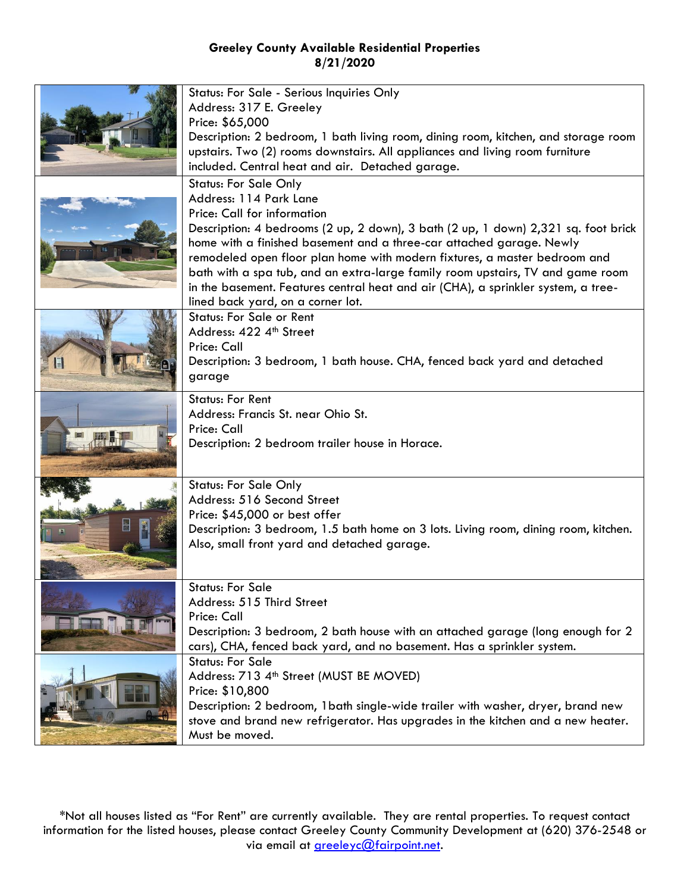|  | Status: For Sale - Serious Inquiries Only<br>Address: 317 E. Greeley<br>Price: \$65,000                                                                                                                                                                                                                                                                                                                                                                                            |
|--|------------------------------------------------------------------------------------------------------------------------------------------------------------------------------------------------------------------------------------------------------------------------------------------------------------------------------------------------------------------------------------------------------------------------------------------------------------------------------------|
|  | Description: 2 bedroom, 1 bath living room, dining room, kitchen, and storage room<br>upstairs. Two (2) rooms downstairs. All appliances and living room furniture<br>included. Central heat and air. Detached garage.                                                                                                                                                                                                                                                             |
|  | <b>Status: For Sale Only</b><br>Address: 114 Park Lane                                                                                                                                                                                                                                                                                                                                                                                                                             |
|  | Price: Call for information<br>Description: 4 bedrooms (2 up, 2 down), 3 bath (2 up, 1 down) 2,321 sq. foot brick<br>home with a finished basement and a three-car attached garage. Newly<br>remodeled open floor plan home with modern fixtures, a master bedroom and<br>bath with a spa tub, and an extra-large family room upstairs, TV and game room<br>in the basement. Features central heat and air (CHA), a sprinkler system, a tree-<br>lined back yard, on a corner lot. |
|  | <b>Status: For Sale or Rent</b><br>Address: 422 4th Street                                                                                                                                                                                                                                                                                                                                                                                                                         |
|  | Price: Call<br>Description: 3 bedroom, 1 bath house. CHA, fenced back yard and detached<br>garage                                                                                                                                                                                                                                                                                                                                                                                  |
|  | <b>Status: For Rent</b><br>Address: Francis St. near Ohio St.                                                                                                                                                                                                                                                                                                                                                                                                                      |
|  | Price: Call<br>Description: 2 bedroom trailer house in Horace.                                                                                                                                                                                                                                                                                                                                                                                                                     |
|  | <b>Status: For Sale Only</b><br>Address: 516 Second Street                                                                                                                                                                                                                                                                                                                                                                                                                         |
|  | Price: \$45,000 or best offer<br>Description: 3 bedroom, 1.5 bath home on 3 lots. Living room, dining room, kitchen.                                                                                                                                                                                                                                                                                                                                                               |
|  | Also, small front yard and detached garage.                                                                                                                                                                                                                                                                                                                                                                                                                                        |
|  | <b>Status: For Sale</b><br>Address: 515 Third Street                                                                                                                                                                                                                                                                                                                                                                                                                               |
|  | Price: Call                                                                                                                                                                                                                                                                                                                                                                                                                                                                        |
|  | Description: 3 bedroom, 2 bath house with an attached garage (long enough for 2<br>cars), CHA, fenced back yard, and no basement. Has a sprinkler system.                                                                                                                                                                                                                                                                                                                          |
|  | <b>Status: For Sale</b><br>Address: 713 4 <sup>th</sup> Street (MUST BE MOVED)                                                                                                                                                                                                                                                                                                                                                                                                     |
|  | Price: \$10,800                                                                                                                                                                                                                                                                                                                                                                                                                                                                    |
|  | Description: 2 bedroom, 1 bath single-wide trailer with washer, dryer, brand new<br>stove and brand new refrigerator. Has upgrades in the kitchen and a new heater.<br>Must be moved.                                                                                                                                                                                                                                                                                              |
|  |                                                                                                                                                                                                                                                                                                                                                                                                                                                                                    |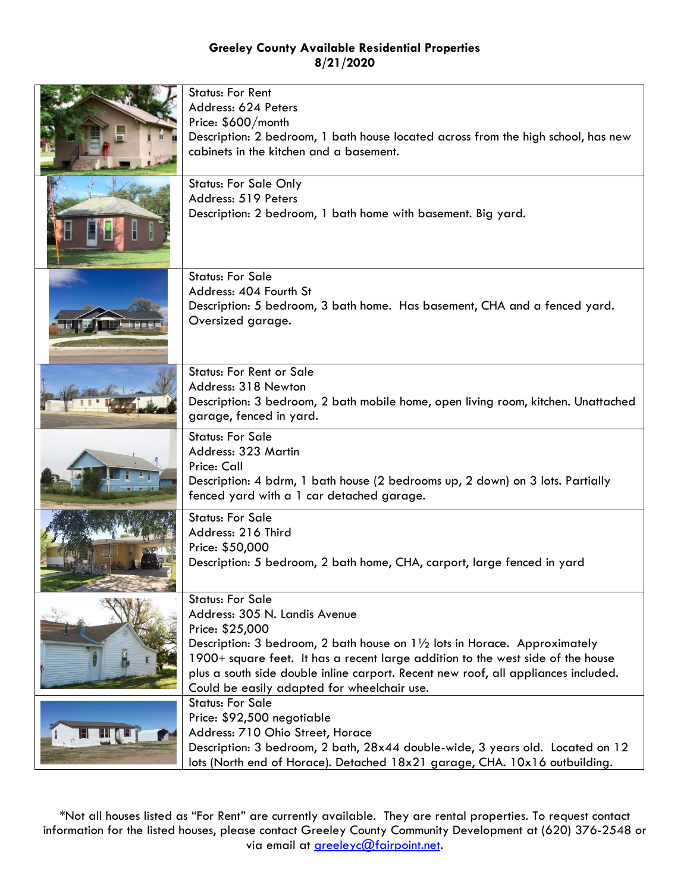| <b>Status: For Rent</b><br>Address: 624 Peters<br>Price: \$600/month<br>Description: 2 bedroom, 1 bath house located across from the high school, has new<br>cabinets in the kitchen and a basement.<br><b>Status: For Sale Only</b>                                                                                                                                                        |
|---------------------------------------------------------------------------------------------------------------------------------------------------------------------------------------------------------------------------------------------------------------------------------------------------------------------------------------------------------------------------------------------|
| Address: 519 Peters<br>Description: 2 bedroom, 1 bath home with basement. Big yard.                                                                                                                                                                                                                                                                                                         |
| <b>Status: For Sale</b><br>Address: 404 Fourth St<br>Description: 5 bedroom, 3 bath home. Has basement, CHA and a fenced yard.<br>Oversized garage.                                                                                                                                                                                                                                         |
| <b>Status: For Rent or Sale</b><br>Address: 318 Newton<br>Description: 3 bedroom, 2 bath mobile home, open living room, kitchen. Unattached<br>garage, fenced in yard.                                                                                                                                                                                                                      |
| <b>Status: For Sale</b><br>Address: 323 Martin<br>Price: Call<br>Description: 4 bdrm, 1 bath house (2 bedrooms up, 2 down) on 3 lots. Partially<br>fenced yard with a 1 car detached garage.                                                                                                                                                                                                |
| <b>Status: For Sale</b><br>Address: 216 Third<br>Price: \$50,000<br>Description: 5 bedroom, 2 bath home, CHA, carport, large fenced in yard                                                                                                                                                                                                                                                 |
| <b>Status: For Sale</b><br>Address: 305 N. Landis Avenue<br>Price: \$25,000<br>Description: 3 bedroom, 2 bath house on $1\frac{1}{2}$ lots in Horace. Approximately<br>1900+ square feet. It has a recent large addition to the west side of the house<br>plus a south side double inline carport. Recent new roof, all appliances included.<br>Could be easily adapted for wheelchair use. |
| <b>Status: For Sale</b><br>Price: \$92,500 negotiable<br>Address: 710 Ohio Street, Horace<br>Description: 3 bedroom, 2 bath, 28x44 double-wide, 3 years old. Located on 12<br>lots (North end of Horace). Detached 18x21 garage, CHA. 10x16 outbuilding.                                                                                                                                    |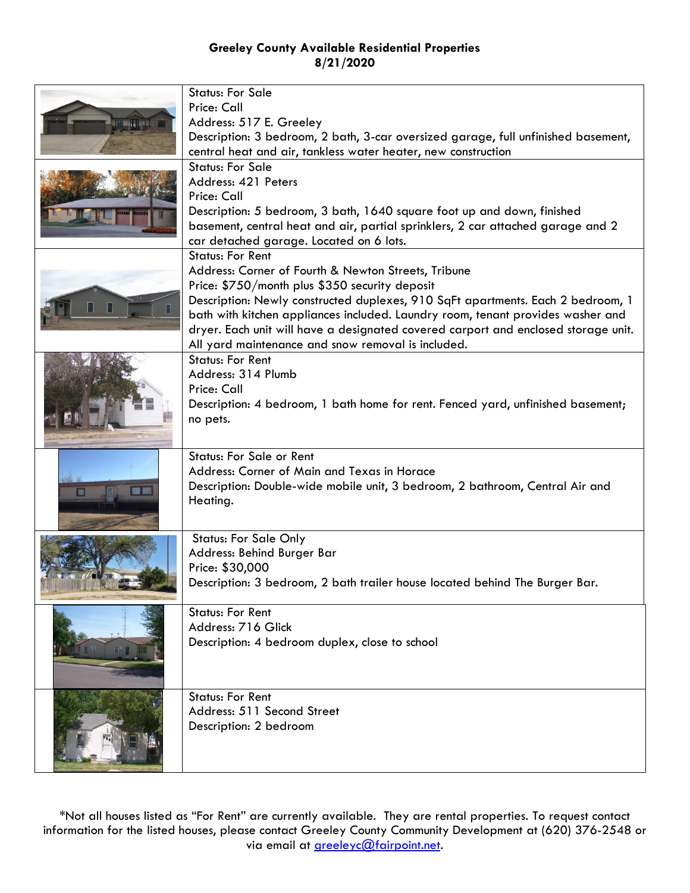| <b>ITTING ETGAT</b> | <b>Status: For Sale</b><br>Price: Call<br>Address: 517 E. Greeley<br>Description: 3 bedroom, 2 bath, 3-car oversized garage, full unfinished basement,<br>central heat and air, tankless water heater, new construction                                                                                                                                                                                                                            |
|---------------------|----------------------------------------------------------------------------------------------------------------------------------------------------------------------------------------------------------------------------------------------------------------------------------------------------------------------------------------------------------------------------------------------------------------------------------------------------|
|                     | <b>Status: For Sale</b><br>Address: 421 Peters<br>Price: Call<br>Description: 5 bedroom, 3 bath, 1640 square foot up and down, finished<br>basement, central heat and air, partial sprinklers, 2 car attached garage and 2<br>car detached garage. Located on 6 lots.                                                                                                                                                                              |
|                     | <b>Status: For Rent</b><br>Address: Corner of Fourth & Newton Streets, Tribune<br>Price: \$750/month plus \$350 security deposit<br>Description: Newly constructed duplexes, 910 SqFt apartments. Each 2 bedroom, 1<br>bath with kitchen appliances included. Laundry room, tenant provides washer and<br>dryer. Each unit will have a designated covered carport and enclosed storage unit.<br>All yard maintenance and snow removal is included. |
|                     | <b>Status: For Rent</b><br>Address: 314 Plumb<br>Price: Call<br>Description: 4 bedroom, 1 bath home for rent. Fenced yard, unfinished basement;<br>no pets.                                                                                                                                                                                                                                                                                        |
| <b>I</b>            | <b>Status: For Sale or Rent</b><br>Address: Corner of Main and Texas in Horace<br>Description: Double-wide mobile unit, 3 bedroom, 2 bathroom, Central Air and<br>Heating.                                                                                                                                                                                                                                                                         |
|                     | <b>Status: For Sale Only</b><br>Address: Behind Burger Bar<br>Price: \$30,000<br>Description: 3 bedroom, 2 bath trailer house located behind The Burger Bar.                                                                                                                                                                                                                                                                                       |
| 品质量                 | <b>Status: For Rent</b><br>Address: 716 Glick<br>Description: 4 bedroom duplex, close to school                                                                                                                                                                                                                                                                                                                                                    |
|                     | <b>Status: For Rent</b><br>Address: 511 Second Street<br>Description: 2 bedroom                                                                                                                                                                                                                                                                                                                                                                    |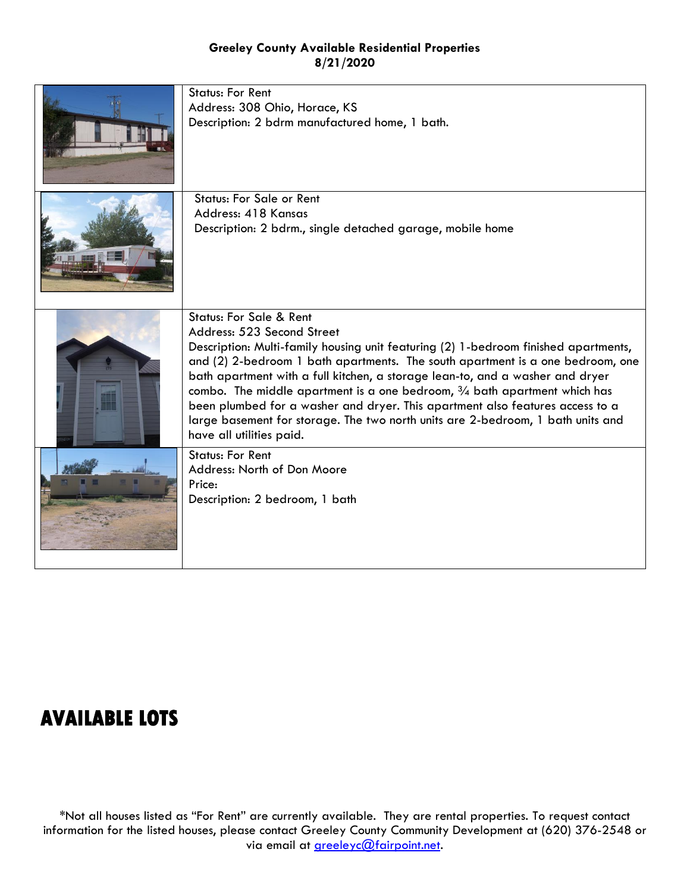| <b>Status: For Rent</b><br>Address: 308 Ohio, Horace, KS<br>Description: 2 bdrm manufactured home, 1 bath.                                                                                                                                                                                                                                                                                                                                                                                                                                                                                                         |
|--------------------------------------------------------------------------------------------------------------------------------------------------------------------------------------------------------------------------------------------------------------------------------------------------------------------------------------------------------------------------------------------------------------------------------------------------------------------------------------------------------------------------------------------------------------------------------------------------------------------|
| <b>Status: For Sale or Rent</b><br>Address: 418 Kansas<br>Description: 2 bdrm., single detached garage, mobile home                                                                                                                                                                                                                                                                                                                                                                                                                                                                                                |
| <b>Status: For Sale &amp; Rent</b><br>Address: 523 Second Street<br>Description: Multi-family housing unit featuring (2) 1-bedroom finished apartments,<br>and (2) 2-bedroom 1 bath apartments. The south apartment is a one bedroom, one<br>bath apartment with a full kitchen, a storage lean-to, and a washer and dryer<br>combo. The middle apartment is a one bedroom, $\frac{3}{4}$ bath apartment which has<br>been plumbed for a washer and dryer. This apartment also features access to a<br>large basement for storage. The two north units are 2-bedroom, 1 bath units and<br>have all utilities paid. |
| <b>Status: For Rent</b><br>Address: North of Don Moore<br>Price:<br>Description: 2 bedroom, 1 bath                                                                                                                                                                                                                                                                                                                                                                                                                                                                                                                 |

# **AVAILABLE LOTS**